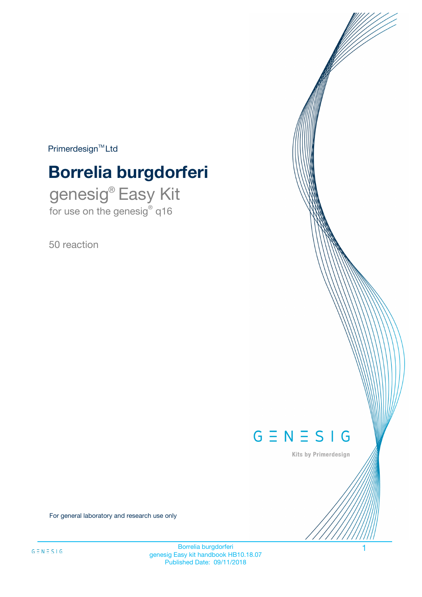$Primerdesign^{\text{TM}}Ltd$ 

# **Borrelia burgdorferi**

genesig® Easy Kit for use on the genesig® q16

50 reaction



Kits by Primerdesign

For general laboratory and research use only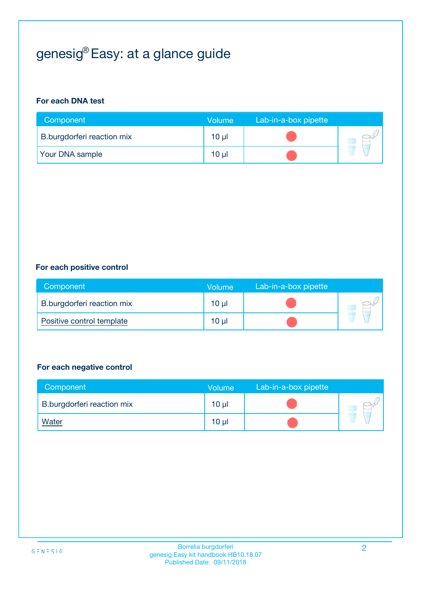## genesig® Easy: at a glance guide

#### **For each DNA test**

| Component                  | <b>Volume</b> | Lab-in-a-box pipette |  |
|----------------------------|---------------|----------------------|--|
| B.burgdorferi reaction mix | $10 \mu$      |                      |  |
| <b>Your DNA sample</b>     | $10 \mu$      |                      |  |

#### **For each positive control**

| Component                  | Volume          | Lab-in-a-box pipette |  |
|----------------------------|-----------------|----------------------|--|
| B.burgdorferi reaction mix | 10 <sub>µ</sub> |                      |  |
| Positive control template  | 10 <sub>µ</sub> |                      |  |

#### **For each negative control**

| Component                  | <b>Volume</b>   | Lab-in-a-box pipette |  |
|----------------------------|-----------------|----------------------|--|
| B.burgdorferi reaction mix | 10 <sub>µ</sub> |                      |  |
| <u>Water</u>               | 10 <sub>µ</sub> |                      |  |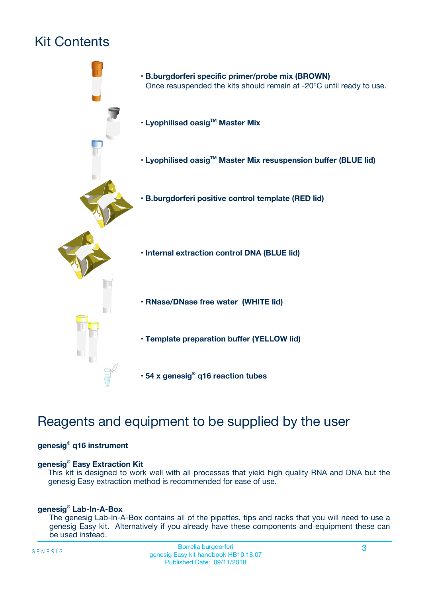## Kit Contents



## Reagents and equipment to be supplied by the user

#### **genesig® q16 instrument**

#### **genesig® Easy Extraction Kit**

This kit is designed to work well with all processes that yield high quality RNA and DNA but the genesig Easy extraction method is recommended for ease of use.

#### **genesig® Lab-In-A-Box**

The genesig Lab-In-A-Box contains all of the pipettes, tips and racks that you will need to use a genesig Easy kit. Alternatively if you already have these components and equipment these can be used instead.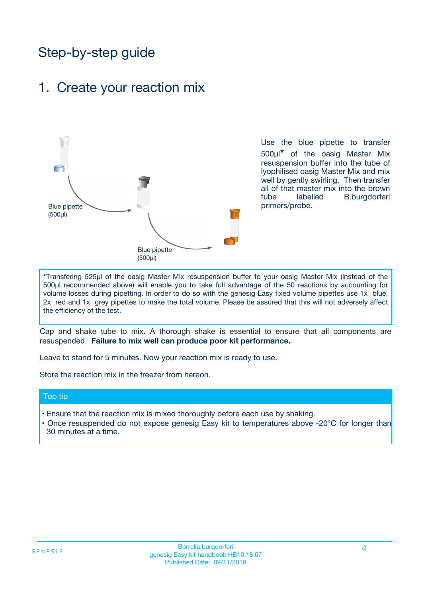## Step-by-step guide

### 1. Create your reaction mix



Use the blue pipette to transfer 500µl**\*** of the oasig Master Mix resuspension buffer into the tube of lyophilised oasig Master Mix and mix well by gently swirling. Then transfer all of that master mix into the brown tube labelled B.burgdorferi primers/probe.

**\***Transfering 525µl of the oasig Master Mix resuspension buffer to your oasig Master Mix (instead of the 500µl recommended above) will enable you to take full advantage of the 50 reactions by accounting for volume losses during pipetting. In order to do so with the genesig Easy fixed volume pipettes use 1x blue, 2x red and 1x grey pipettes to make the total volume. Please be assured that this will not adversely affect the efficiency of the test.

Cap and shake tube to mix. A thorough shake is essential to ensure that all components are resuspended. **Failure to mix well can produce poor kit performance.**

Leave to stand for 5 minutes. Now your reaction mix is ready to use.

Store the reaction mix in the freezer from hereon.

#### Top tip

- Ensure that the reaction mix is mixed thoroughly before each use by shaking.
- **•** Once resuspended do not expose genesig Easy kit to temperatures above -20°C for longer than 30 minutes at a time.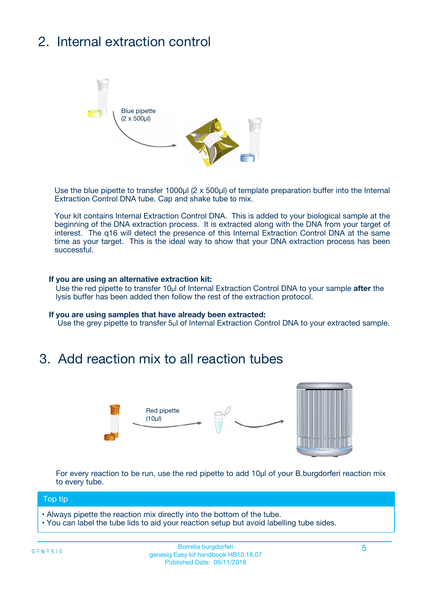## 2. Internal extraction control



Use the blue pipette to transfer 1000µl (2 x 500µl) of template preparation buffer into the Internal Extraction Control DNA tube. Cap and shake tube to mix.

Your kit contains Internal Extraction Control DNA. This is added to your biological sample at the beginning of the DNA extraction process. It is extracted along with the DNA from your target of interest. The q16 will detect the presence of this Internal Extraction Control DNA at the same time as your target. This is the ideal way to show that your DNA extraction process has been successful.

#### **If you are using an alternative extraction kit:**

Use the red pipette to transfer 10µl of Internal Extraction Control DNA to your sample **after** the lysis buffer has been added then follow the rest of the extraction protocol.

#### **If you are using samples that have already been extracted:**

Use the grey pipette to transfer 5µl of Internal Extraction Control DNA to your extracted sample.

### 3. Add reaction mix to all reaction tubes



For every reaction to be run, use the red pipette to add 10µl of your B.burgdorferi reaction mix to every tube.

#### Top tip

- Always pipette the reaction mix directly into the bottom of the tube.
- You can label the tube lids to aid your reaction setup but avoid labelling tube sides.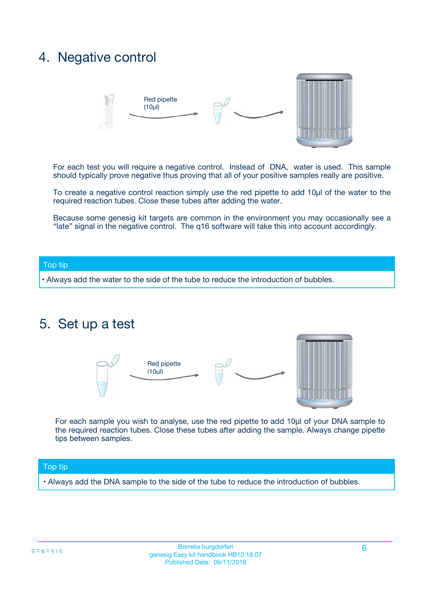### 4. Negative control



For each test you will require a negative control. Instead of DNA, water is used. This sample should typically prove negative thus proving that all of your positive samples really are positive.

To create a negative control reaction simply use the red pipette to add 10µl of the water to the required reaction tubes. Close these tubes after adding the water.

Because some genesig kit targets are common in the environment you may occasionally see a "late" signal in the negative control. The q16 software will take this into account accordingly.

#### Top tip

**•** Always add the water to the side of the tube to reduce the introduction of bubbles.

### 5. Set up a test



For each sample you wish to analyse, use the red pipette to add 10µl of your DNA sample to the required reaction tubes. Close these tubes after adding the sample. Always change pipette tips between samples.

#### Top tip

**•** Always add the DNA sample to the side of the tube to reduce the introduction of bubbles.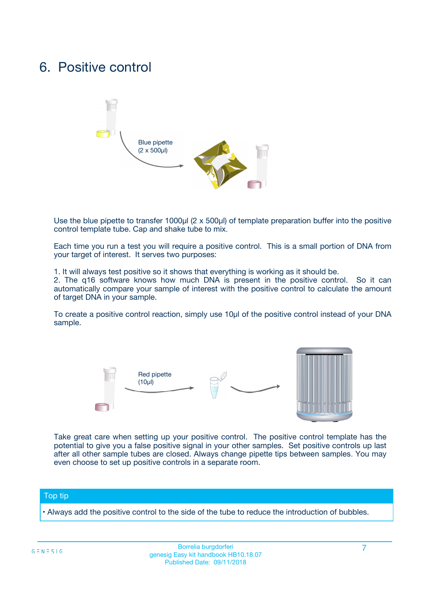### 6. Positive control



Use the blue pipette to transfer 1000µl (2 x 500µl) of template preparation buffer into the positive control template tube. Cap and shake tube to mix.

Each time you run a test you will require a positive control. This is a small portion of DNA from your target of interest. It serves two purposes:

1. It will always test positive so it shows that everything is working as it should be.

2. The q16 software knows how much DNA is present in the positive control. So it can automatically compare your sample of interest with the positive control to calculate the amount of target DNA in your sample.

To create a positive control reaction, simply use 10µl of the positive control instead of your DNA sample.



Take great care when setting up your positive control. The positive control template has the potential to give you a false positive signal in your other samples. Set positive controls up last after all other sample tubes are closed. Always change pipette tips between samples. You may even choose to set up positive controls in a separate room.

#### Top tip

**•** Always add the positive control to the side of the tube to reduce the introduction of bubbles.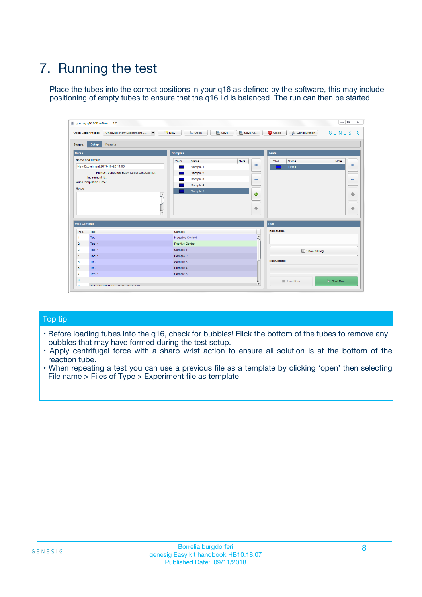## 7. Running the test

Place the tubes into the correct positions in your q16 as defined by the software, this may include positioning of empty tubes to ensure that the q16 lid is balanced. The run can then be started.

| genesig q16 PCR software - 1.2                                               |                                     | $\Box$                                                                                  |
|------------------------------------------------------------------------------|-------------------------------------|-----------------------------------------------------------------------------------------|
| Unsaved (New Experiment 2<br>$\vert \cdot \vert$<br><b>Open Experiments:</b> | <b>D</b> Open<br>Save<br>$\Box$ New | Save As<br><b>C</b> Close<br>$G \equiv N \equiv S \mid G$<br><b>&amp; Configuration</b> |
| Setup<br><b>Results</b><br><b>Stages:</b>                                    |                                     |                                                                                         |
| <b>Notes</b>                                                                 | Samples                             | <b>Tests</b>                                                                            |
| <b>Name and Details</b>                                                      | Color<br>Name                       | Note<br>Color<br>Note<br>Name                                                           |
| New Experiment 2017-10-26 11:06                                              | Sample 1                            | 条<br>علي<br>Test 1                                                                      |
| Kit type: genesig® Easy Target Detection kit                                 | Sample 2                            |                                                                                         |
| Instrument Id.:                                                              | Sample 3                            | $\qquad \qquad \blacksquare$<br>$\qquad \qquad \blacksquare$                            |
| Run Completion Time:                                                         | Sample 4                            |                                                                                         |
| <b>Notes</b>                                                                 | Sample 5<br>A<br>v                  | $\triangle$<br>4<br>$\oplus$<br>₩                                                       |
| <b>Well Contents</b>                                                         |                                     | <b>Run</b>                                                                              |
| Pos.<br>Test                                                                 | Sample                              | <b>Run Status</b>                                                                       |
| Test 1<br>-1                                                                 | <b>Negative Control</b>             | $\blacktriangle$                                                                        |
| $\overline{2}$<br>Test 1                                                     | <b>Positive Control</b>             |                                                                                         |
| $\overline{\mathbf{3}}$<br>Test 1                                            | Sample 1                            | Show full log                                                                           |
| Test 1<br>$\overline{4}$                                                     | Sample 2                            |                                                                                         |
| 5<br>Test 1                                                                  | Sample 3                            | <b>Run Control</b>                                                                      |
| 6<br>Test 1                                                                  | Sample 4                            |                                                                                         |
| $\overline{7}$<br>Test 1                                                     | Sample 5                            |                                                                                         |
| 8                                                                            |                                     | $\triangleright$ Start Run<br>Abort Run                                                 |
| <b>JOD FURTY TUDE TO BUILDED IN</b>                                          |                                     | $\overline{\mathbf{v}}$                                                                 |

#### Top tip

- Before loading tubes into the q16, check for bubbles! Flick the bottom of the tubes to remove any bubbles that may have formed during the test setup.
- Apply centrifugal force with a sharp wrist action to ensure all solution is at the bottom of the reaction tube.
- When repeating a test you can use a previous file as a template by clicking 'open' then selecting File name > Files of Type > Experiment file as template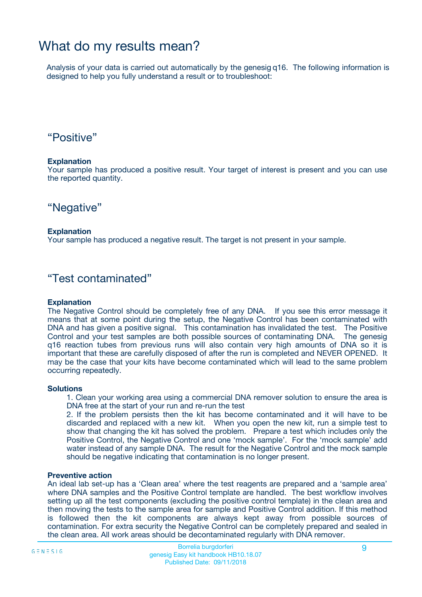### What do my results mean?

Analysis of your data is carried out automatically by the genesig q16. The following information is designed to help you fully understand a result or to troubleshoot:

### "Positive"

#### **Explanation**

Your sample has produced a positive result. Your target of interest is present and you can use the reported quantity.

"Negative"

#### **Explanation**

Your sample has produced a negative result. The target is not present in your sample.

### "Test contaminated"

#### **Explanation**

The Negative Control should be completely free of any DNA. If you see this error message it means that at some point during the setup, the Negative Control has been contaminated with DNA and has given a positive signal. This contamination has invalidated the test. The Positive Control and your test samples are both possible sources of contaminating DNA. The genesig q16 reaction tubes from previous runs will also contain very high amounts of DNA so it is important that these are carefully disposed of after the run is completed and NEVER OPENED. It may be the case that your kits have become contaminated which will lead to the same problem occurring repeatedly.

#### **Solutions**

1. Clean your working area using a commercial DNA remover solution to ensure the area is DNA free at the start of your run and re-run the test

2. If the problem persists then the kit has become contaminated and it will have to be discarded and replaced with a new kit. When you open the new kit, run a simple test to show that changing the kit has solved the problem. Prepare a test which includes only the Positive Control, the Negative Control and one 'mock sample'. For the 'mock sample' add water instead of any sample DNA. The result for the Negative Control and the mock sample should be negative indicating that contamination is no longer present.

#### **Preventive action**

An ideal lab set-up has a 'Clean area' where the test reagents are prepared and a 'sample area' where DNA samples and the Positive Control template are handled. The best workflow involves setting up all the test components (excluding the positive control template) in the clean area and then moving the tests to the sample area for sample and Positive Control addition. If this method is followed then the kit components are always kept away from possible sources of contamination. For extra security the Negative Control can be completely prepared and sealed in the clean area. All work areas should be decontaminated regularly with DNA remover.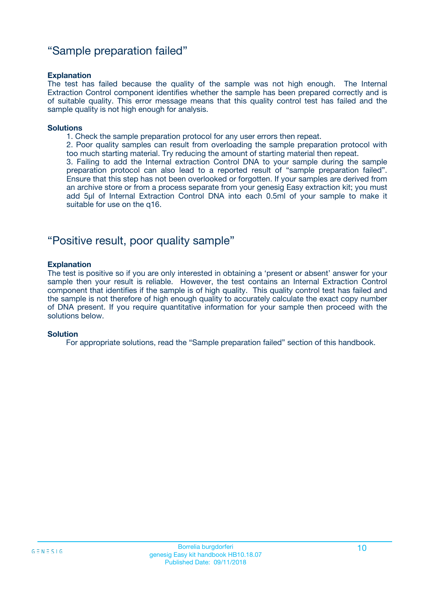### "Sample preparation failed"

#### **Explanation**

The test has failed because the quality of the sample was not high enough. The Internal Extraction Control component identifies whether the sample has been prepared correctly and is of suitable quality. This error message means that this quality control test has failed and the sample quality is not high enough for analysis.

#### **Solutions**

1. Check the sample preparation protocol for any user errors then repeat.

2. Poor quality samples can result from overloading the sample preparation protocol with too much starting material. Try reducing the amount of starting material then repeat.

3. Failing to add the Internal extraction Control DNA to your sample during the sample preparation protocol can also lead to a reported result of "sample preparation failed". Ensure that this step has not been overlooked or forgotten. If your samples are derived from an archive store or from a process separate from your genesig Easy extraction kit; you must add 5µl of Internal Extraction Control DNA into each 0.5ml of your sample to make it suitable for use on the q16.

### "Positive result, poor quality sample"

#### **Explanation**

The test is positive so if you are only interested in obtaining a 'present or absent' answer for your sample then your result is reliable. However, the test contains an Internal Extraction Control component that identifies if the sample is of high quality. This quality control test has failed and the sample is not therefore of high enough quality to accurately calculate the exact copy number of DNA present. If you require quantitative information for your sample then proceed with the solutions below.

#### **Solution**

For appropriate solutions, read the "Sample preparation failed" section of this handbook.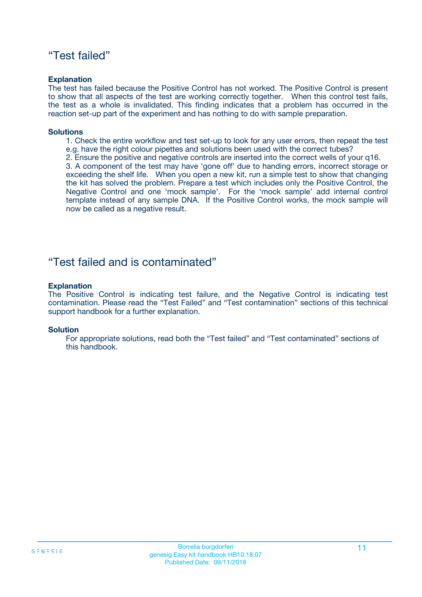### "Test failed"

#### **Explanation**

The test has failed because the Positive Control has not worked. The Positive Control is present to show that all aspects of the test are working correctly together. When this control test fails, the test as a whole is invalidated. This finding indicates that a problem has occurred in the reaction set-up part of the experiment and has nothing to do with sample preparation.

#### **Solutions**

- 1. Check the entire workflow and test set-up to look for any user errors, then repeat the test e.g. have the right colour pipettes and solutions been used with the correct tubes?
- 2. Ensure the positive and negative controls are inserted into the correct wells of your q16.

3. A component of the test may have 'gone off' due to handing errors, incorrect storage or exceeding the shelf life. When you open a new kit, run a simple test to show that changing the kit has solved the problem. Prepare a test which includes only the Positive Control, the Negative Control and one 'mock sample'. For the 'mock sample' add internal control template instead of any sample DNA. If the Positive Control works, the mock sample will now be called as a negative result.

### "Test failed and is contaminated"

#### **Explanation**

The Positive Control is indicating test failure, and the Negative Control is indicating test contamination. Please read the "Test Failed" and "Test contamination" sections of this technical support handbook for a further explanation.

#### **Solution**

For appropriate solutions, read both the "Test failed" and "Test contaminated" sections of this handbook.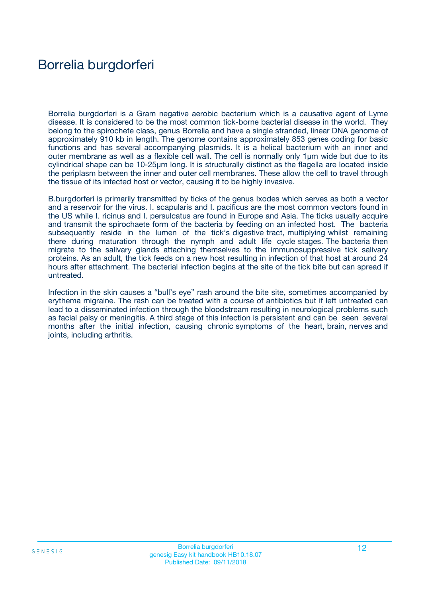## Borrelia burgdorferi

Borrelia burgdorferi is a Gram negative aerobic bacterium which is a causative agent of Lyme disease. It is considered to be the most common tick-borne bacterial disease in the world. They belong to the spirochete class, genus Borrelia and have a single stranded, linear DNA genome of approximately 910 kb in length. The genome contains approximately 853 genes coding for basic functions and has several accompanying plasmids. It is a helical bacterium with an inner and outer membrane as well as a flexible cell wall. The cell is normally only 1µm wide but due to its cylindrical shape can be 10-25µm long. It is structurally distinct as the flagella are located inside the periplasm between the inner and outer cell membranes. These allow the cell to travel through the tissue of its infected host or vector, causing it to be highly invasive.

B.burgdorferi is primarily transmitted by ticks of the genus Ixodes which serves as both a vector and a reservoir for the virus. I. scapularis and I. pacificus are the most common vectors found in the US while I. ricinus and I. persulcatus are found in Europe and Asia. The ticks usually acquire and transmit the spirochaete form of the bacteria by feeding on an infected host. The bacteria subsequently reside in the lumen of the tick's digestive tract, multiplying whilst remaining there during maturation through the nymph and adult life cycle stages. The bacteria then migrate to the salivary glands attaching themselves to the immunosuppressive tick salivary proteins. As an adult, the tick feeds on a new host resulting in infection of that host at around 24 hours after attachment. The bacterial infection begins at the site of the tick bite but can spread if untreated.

Infection in the skin causes a "bull's eye" rash around the bite site, sometimes accompanied by erythema migraine. The rash can be treated with a course of antibiotics but if left untreated can lead to a disseminated infection through the bloodstream resulting in neurological problems such as facial palsy or meningitis. A third stage of this infection is persistent and can be seen several months after the initial infection, causing chronic symptoms of the heart, brain, nerves and joints, including arthritis.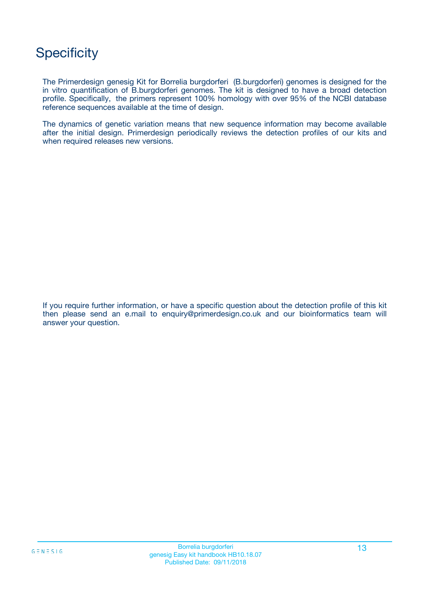## **Specificity**

The Primerdesign genesig Kit for Borrelia burgdorferi (B.burgdorferi) genomes is designed for the in vitro quantification of B.burgdorferi genomes. The kit is designed to have a broad detection profile. Specifically, the primers represent 100% homology with over 95% of the NCBI database reference sequences available at the time of design.

The dynamics of genetic variation means that new sequence information may become available after the initial design. Primerdesign periodically reviews the detection profiles of our kits and when required releases new versions.

If you require further information, or have a specific question about the detection profile of this kit then please send an e.mail to enquiry@primerdesign.co.uk and our bioinformatics team will answer your question.